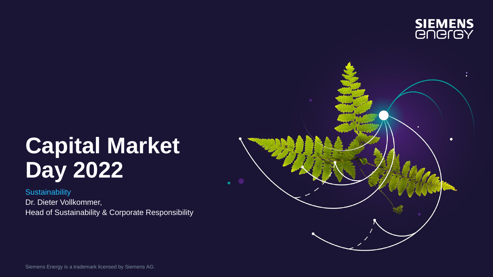

# **Capital Market Day 2022**

#### **Sustainability**

Dr. Dieter Vollkommer, Head of Sustainability & Corporate Responsibility



Siemens Energy is a trademark licensed by Siemens AG.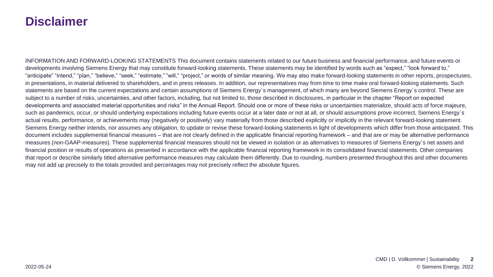#### **Disclaimer**

INFORMATION AND FORWARD-LOOKING STATEMENTS This document contains statements related to our future business and financial performance, and future events or developments involving Siemens Energy that may constitute forward-looking statements. These statements may be identified by words such as "expect," "look forward to," "anticipate" "intend," "plan," "believe," "seek," "estimate," "will," "project," or words of similar meaning. We may also make forward-looking statements in other reports, prospectuses, in presentations, in material delivered to shareholders, and in press releases. In addition, our representatives may from time to time make oral forward-looking statements. Such statements are based on the current expectations and certain assumptions of Siemens Energy´s management, of which many are beyond Siemens Energy´s control. These are subject to a number of risks, uncertainties, and other factors, including, but not limited to, those described in disclosures, in particular in the chapter "Report on expected developments and associated material opportunities and risks" in the Annual Report. Should one or more of these risks or uncertainties materialize, should acts of force majeure, such as pandemics, occur, or should underlying expectations including future events occur at a later date or not at all, or should assumptions prove incorrect, Siemens Energy's actual results, performance, or achievements may (negatively or positively) vary materially from those described explicitly or implicitly in the relevant forward-looking statement. Siemens Energy neither intends, nor assumes any obligation, to update or revise these forward-looking statements in light of developments which differ from those anticipated. This document includes supplemental financial measures – that are not clearly defined in the applicable financial reporting framework – and that are or may be alternative performance measures (non-GAAP-measures). These supplemental financial measures should not be viewed in isolation or as alternatives to measures of Siemens Energy´s net assets and financial position or results of operations as presented in accordance with the applicable financial reporting framework in its consolidated financial statements. Other companies that report or describe similarly titled alternative performance measures may calculate them differently. Due to rounding, numbers presented throughout this and other documents may not add up precisely to the totals provided and percentages may not precisely reflect the absolute figures.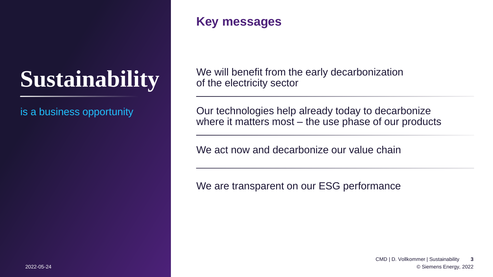# **Sustainability**

is a business opportunity

#### **Key messages**

We will benefit from the early decarbonization of the electricity sector

Our technologies help already today to decarbonize where it matters most – the use phase of our products

We act now and decarbonize our value chain

We are transparent on our ESG performance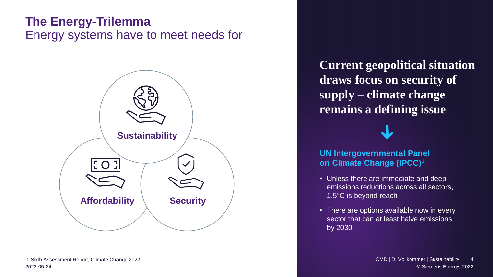## **The Energy-Trilemma** Energy systems have to meet needs for



2022-05-24 © Siemens Energy, 2022 **1** Sixth Assessment Report, Climate Change 2022

**Current geopolitical situation draws focus on security of supply – climate change remains a defining issue**

#### **UN Intergovernmental Panel on Climate Change (IPCC)<sup>1</sup>**

- Unless there are immediate and deep emissions reductions across all sectors, 1.5°C is beyond reach
- There are options available now in every sector that can at least halve emissions by 2030

CMD | D. Vollkommer | Sustainability **4**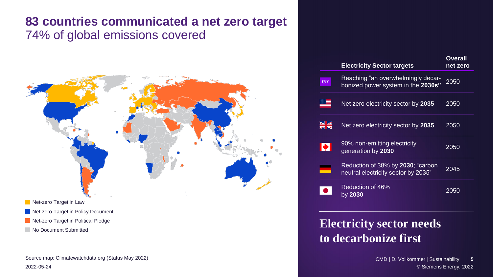#### **83 countries communicated a net zero target**  74% of global emissions covered



2022-05-24 © Siemens Energy, 2022 Source map: Climatewatchdata.org (Status May 2022)

|    | <b>Electricity Sector targets</b>                                        | <b>Overall</b><br>net zero |
|----|--------------------------------------------------------------------------|----------------------------|
| G7 | Reaching "an overwhelmingly decar-<br>bonized power system in the 2030s" | 2050                       |
|    | Net zero electricity sector by 2035                                      | 2050                       |
|    | Net zero electricity sector by 2035                                      | 2050                       |
|    | 90% non-emitting electricity<br>generation by 2030                       | 2050                       |
|    | Reduction of 38% by 2030; "carbon<br>neutral electricity sector by 2035" | 2045                       |
|    | Reduction of 46%<br>by 2030                                              | 2050                       |

#### **Electricity sector needs to decarbonize first**

CMD | D. Vollkommer | Sustainability **5**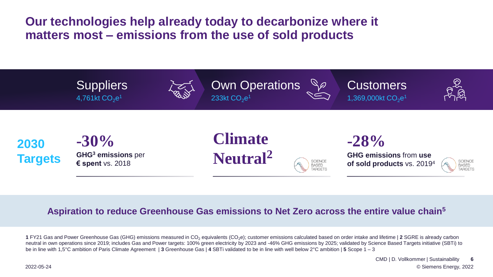#### **Our technologies help already today to decarbonize where it matters most – emissions from the use of sold products**



#### **Aspiration to reduce Greenhouse Gas emissions to Net Zero across the entire value chain5**

**1** FY21 Gas and Power Greenhouse Gas (GHG) emissions measured in CO<sub>2</sub> equivalents (CO<sub>2</sub>e); customer emissions calculated based on order intake and lifetime | **2** SGRE is already carbon neutral in own operations since 2019; includes Gas and Power targets: 100% green electricity by 2023 and -46% GHG emissions by 2025; validated by Science Based Targets initiative (SBTi) to be in line with 1,5°C ambition of Paris Climate Agreement | **3** Greenhouse Gas | **4** SBTi validated to be in line with well below 2°C ambition | **5** Scope 1 – 3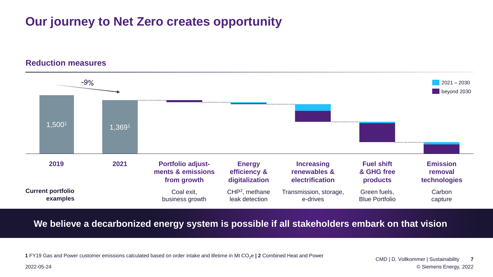## **Our journey to Net Zero creates opportunity**

#### **Reduction measures**



**We believe a decarbonized energy system is possible if all stakeholders embark on that vision**

**1** FY19 Gas and Power customer emissions calculated based on order intake and lifetime in Mt CO2e **| 2** Combined Heat and Power

2022-05-24 © Siemens Energy, 2022 CMD | D. Vollkommer | Sustainability **7**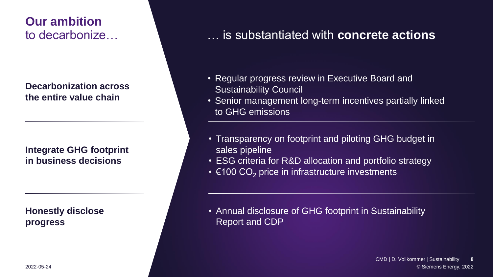**Our ambition**  to decarbonize…

**Decarbonization across the entire value chain** 

**Integrate GHG footprint in business decisions**

**Honestly disclose progress**

#### … is substantiated with **concrete actions**

- Regular progress review in Executive Board and Sustainability Council
- Senior management long-term incentives partially linked to GHG emissions
- Transparency on footprint and piloting GHG budget in sales pipeline
- ESG criteria for R&D allocation and portfolio strategy
- $\epsilon$ 100 CO<sub>2</sub> price in infrastructure investments

• Annual disclosure of GHG footprint in Sustainability Report and CDP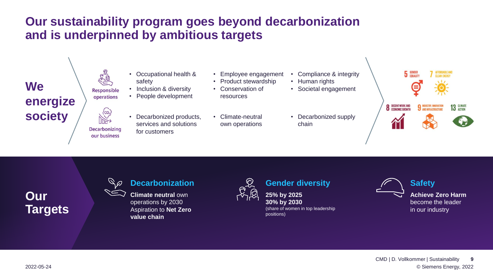#### **Our sustainability program goes beyond decarbonization and is underpinned by ambitious targets**

## **We energize**

**Decarbonizing** our business

Responsible operations

- Occupational health & safety
- Inclusion & diversity
- People development
- **society**  $\left\{\begin{array}{ccc} \text{co}_2 & \cdot & \text{Decarbonized products,} \end{array}\right\}$ services and solutions for customers
- Employee engagement
- Product stewardship • Conservation of
- resources
- Climate-neutral own operations
- Compliance & integrity
- Human rights
- Societal engagement
- Decarbonized supply chain



## **Our Targets**

#### **Decarbonization**

**Climate neutral** own operations by 2030 Aspiration to **Net Zero value chain**

**Gender diversity 25% by 2025**

**30% by 2030**  (share of women in top leadership positions)

**Safety**

**Achieve Zero Harm** become the leader in our industry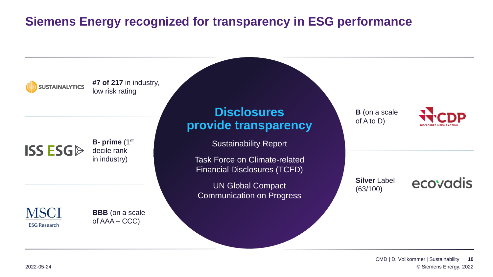## **Siemens Energy recognized for transparency in ESG performance**